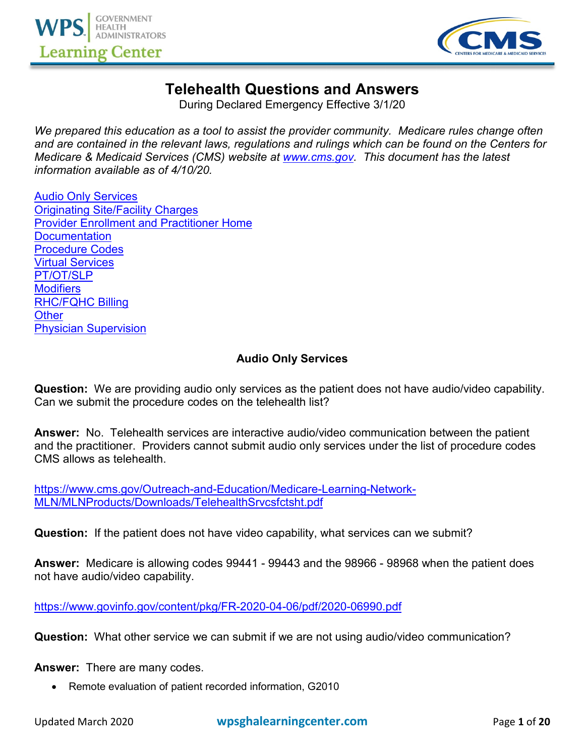



# **Telehealth Questions and Answers**

During Declared Emergency Effective 3/1/20

*We prepared this education as a tool to assist the provider community. Medicare rules change often and are contained in the relevant laws, regulations and rulings which can be found on the Centers for Medicare & Medicaid Services (CMS) website at [www.cms.gov.](http://www.cms.gov/) This document has the latest information available as of 4/10/20.* 

[Audio Only Services](#page-0-0) [Originating Site/Facility Charges](#page-3-0) [Provider Enrollment and Practitioner Home](#page-5-0) **[Documentation](#page-6-0)** [Procedure Codes](#page-7-0) [Virtual Services](#page-9-0) [PT/OT/SLP](#page-10-0) **[Modifiers](#page-11-0)** [RHC/FQHC Billing](#page-12-0) **[Other](#page-14-0)** [Physician Supervision](#page-18-0)

## **Audio Only Services**

<span id="page-0-0"></span>**Question:** We are providing audio only services as the patient does not have audio/video capability. Can we submit the procedure codes on the telehealth list?

**Answer:** No. Telehealth services are interactive audio/video communication between the patient and the practitioner. Providers cannot submit audio only services under the list of procedure codes CMS allows as telehealth.

[https://www.cms.gov/Outreach-and-Education/Medicare-Learning-Network-](https://www.cms.gov/Outreach-and-Education/Medicare-Learning-Network-MLN/MLNProducts/Downloads/TelehealthSrvcsfctsht.pdf)[MLN/MLNProducts/Downloads/TelehealthSrvcsfctsht.pdf](https://www.cms.gov/Outreach-and-Education/Medicare-Learning-Network-MLN/MLNProducts/Downloads/TelehealthSrvcsfctsht.pdf)

**Question:** If the patient does not have video capability, what services can we submit?

**Answer:** Medicare is allowing codes 99441 - 99443 and the 98966 - 98968 when the patient does not have audio/video capability.

<https://www.govinfo.gov/content/pkg/FR-2020-04-06/pdf/2020-06990.pdf>

**Question:** What other service we can submit if we are not using audio/video communication?

**Answer:** There are many codes.

• Remote evaluation of patient recorded information, G2010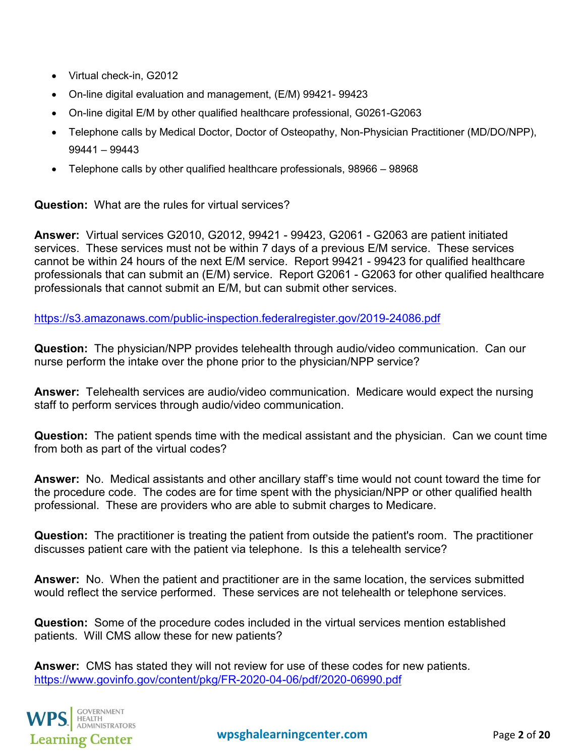- Virtual check-in, G2012
- On-line digital evaluation and management, (E/M) 99421- 99423
- On-line digital E/M by other qualified healthcare professional, G0261-G2063
- Telephone calls by Medical Doctor, Doctor of Osteopathy, Non-Physician Practitioner (MD/DO/NPP), 99441 – 99443
- Telephone calls by other qualified healthcare professionals, 98966 98968

**Question:** What are the rules for virtual services?

**Answer:** Virtual services G2010, G2012, 99421 - 99423, G2061 - G2063 are patient initiated services. These services must not be within 7 days of a previous E/M service. These services cannot be within 24 hours of the next E/M service. Report 99421 - 99423 for qualified healthcare professionals that can submit an (E/M) service. Report G2061 - G2063 for other qualified healthcare professionals that cannot submit an E/M, but can submit other services.

<https://s3.amazonaws.com/public-inspection.federalregister.gov/2019-24086.pdf>

**Question:** The physician/NPP provides telehealth through audio/video communication. Can our nurse perform the intake over the phone prior to the physician/NPP service?

**Answer:** Telehealth services are audio/video communication. Medicare would expect the nursing staff to perform services through audio/video communication.

**Question:** The patient spends time with the medical assistant and the physician. Can we count time from both as part of the virtual codes?

**Answer:** No. Medical assistants and other ancillary staff's time would not count toward the time for the procedure code. The codes are for time spent with the physician/NPP or other qualified health professional. These are providers who are able to submit charges to Medicare.

**Question:** The practitioner is treating the patient from outside the patient's room. The practitioner discusses patient care with the patient via telephone. Is this a telehealth service?

**Answer:** No. When the patient and practitioner are in the same location, the services submitted would reflect the service performed. These services are not telehealth or telephone services.

**Question:** Some of the procedure codes included in the virtual services mention established patients. Will CMS allow these for new patients?

**Answer:** CMS has stated they will not review for use of these codes for new patients. <https://www.govinfo.gov/content/pkg/FR-2020-04-06/pdf/2020-06990.pdf>

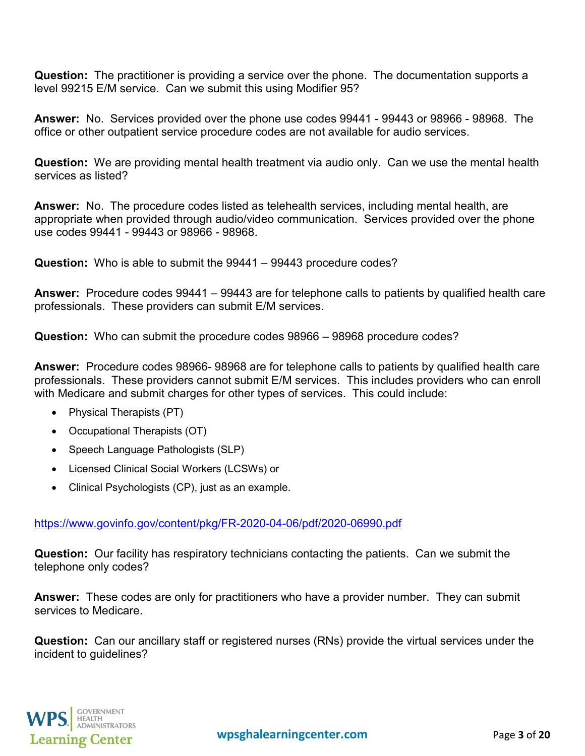**Question:** The practitioner is providing a service over the phone. The documentation supports a level 99215 E/M service. Can we submit this using Modifier 95?

**Answer:** No. Services provided over the phone use codes 99441 - 99443 or 98966 - 98968. The office or other outpatient service procedure codes are not available for audio services.

**Question:** We are providing mental health treatment via audio only. Can we use the mental health services as listed?

**Answer:** No. The procedure codes listed as telehealth services, including mental health, are appropriate when provided through audio/video communication. Services provided over the phone use codes 99441 - 99443 or 98966 - 98968.

**Question:** Who is able to submit the 99441 – 99443 procedure codes?

**Answer:** Procedure codes 99441 – 99443 are for telephone calls to patients by qualified health care professionals. These providers can submit E/M services.

**Question:** Who can submit the procedure codes 98966 – 98968 procedure codes?

**Answer:** Procedure codes 98966- 98968 are for telephone calls to patients by qualified health care professionals. These providers cannot submit E/M services. This includes providers who can enroll with Medicare and submit charges for other types of services. This could include:

- Physical Therapists (PT)
- Occupational Therapists (OT)
- Speech Language Pathologists (SLP)
- Licensed Clinical Social Workers (LCSWs) or
- Clinical Psychologists (CP), just as an example.

<https://www.govinfo.gov/content/pkg/FR-2020-04-06/pdf/2020-06990.pdf>

**Question:** Our facility has respiratory technicians contacting the patients. Can we submit the telephone only codes?

**Answer:** These codes are only for practitioners who have a provider number. They can submit services to Medicare.

**Question:** Can our ancillary staff or registered nurses (RNs) provide the virtual services under the incident to guidelines?

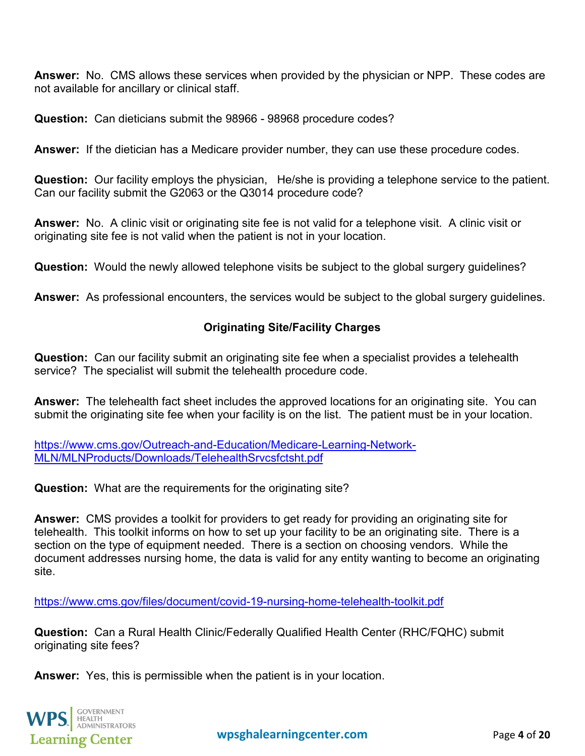**Answer:** No. CMS allows these services when provided by the physician or NPP. These codes are not available for ancillary or clinical staff.

**Question:** Can dieticians submit the 98966 - 98968 procedure codes?

**Answer:** If the dietician has a Medicare provider number, they can use these procedure codes.

**Question:** Our facility employs the physician, He/she is providing a telephone service to the patient. Can our facility submit the G2063 or the Q3014 procedure code?

**Answer:** No. A clinic visit or originating site fee is not valid for a telephone visit. A clinic visit or originating site fee is not valid when the patient is not in your location.

**Question:** Would the newly allowed telephone visits be subject to the global surgery guidelines?

<span id="page-3-0"></span>**Answer:** As professional encounters, the services would be subject to the global surgery guidelines.

# **Originating Site/Facility Charges**

**Question:** Can our facility submit an originating site fee when a specialist provides a telehealth service? The specialist will submit the telehealth procedure code.

**Answer:** The telehealth fact sheet includes the approved locations for an originating site. You can submit the originating site fee when your facility is on the list. The patient must be in your location.

[https://www.cms.gov/Outreach-and-Education/Medicare-Learning-Network-](https://www.cms.gov/Outreach-and-Education/Medicare-Learning-Network-MLN/MLNProducts/Downloads/TelehealthSrvcsfctsht.pdf)[MLN/MLNProducts/Downloads/TelehealthSrvcsfctsht.pdf](https://www.cms.gov/Outreach-and-Education/Medicare-Learning-Network-MLN/MLNProducts/Downloads/TelehealthSrvcsfctsht.pdf)

**Question:** What are the requirements for the originating site?

**Answer:** CMS provides a toolkit for providers to get ready for providing an originating site for telehealth. This toolkit informs on how to set up your facility to be an originating site. There is a section on the type of equipment needed. There is a section on choosing vendors. While the document addresses nursing home, the data is valid for any entity wanting to become an originating site.

<https://www.cms.gov/files/document/covid-19-nursing-home-telehealth-toolkit.pdf>

**Question:** Can a Rural Health Clinic/Federally Qualified Health Center (RHC/FQHC) submit originating site fees?

**Answer:** Yes, this is permissible when the patient is in your location.

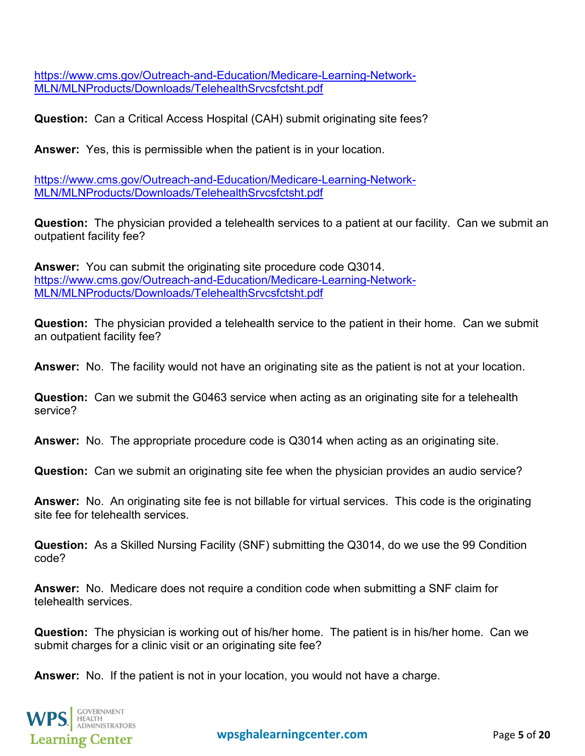[https://www.cms.gov/Outreach-and-Education/Medicare-Learning-Network-](https://www.cms.gov/Outreach-and-Education/Medicare-Learning-Network-MLN/MLNProducts/Downloads/TelehealthSrvcsfctsht.pdf)[MLN/MLNProducts/Downloads/TelehealthSrvcsfctsht.pdf](https://www.cms.gov/Outreach-and-Education/Medicare-Learning-Network-MLN/MLNProducts/Downloads/TelehealthSrvcsfctsht.pdf)

**Question:** Can a Critical Access Hospital (CAH) submit originating site fees?

**Answer:** Yes, this is permissible when the patient is in your location.

[https://www.cms.gov/Outreach-and-Education/Medicare-Learning-Network-](https://www.cms.gov/Outreach-and-Education/Medicare-Learning-Network-MLN/MLNProducts/Downloads/TelehealthSrvcsfctsht.pdf)[MLN/MLNProducts/Downloads/TelehealthSrvcsfctsht.pdf](https://www.cms.gov/Outreach-and-Education/Medicare-Learning-Network-MLN/MLNProducts/Downloads/TelehealthSrvcsfctsht.pdf)

**Question:** The physician provided a telehealth services to a patient at our facility. Can we submit an outpatient facility fee?

**Answer:** You can submit the originating site procedure code Q3014. [https://www.cms.gov/Outreach-and-Education/Medicare-Learning-Network-](https://www.cms.gov/Outreach-and-Education/Medicare-Learning-Network-MLN/MLNProducts/Downloads/TelehealthSrvcsfctsht.pdf)[MLN/MLNProducts/Downloads/TelehealthSrvcsfctsht.pdf](https://www.cms.gov/Outreach-and-Education/Medicare-Learning-Network-MLN/MLNProducts/Downloads/TelehealthSrvcsfctsht.pdf)

**Question:** The physician provided a telehealth service to the patient in their home. Can we submit an outpatient facility fee?

**Answer:** No. The facility would not have an originating site as the patient is not at your location.

**Question:** Can we submit the G0463 service when acting as an originating site for a telehealth service?

**Answer:** No. The appropriate procedure code is Q3014 when acting as an originating site.

**Question:** Can we submit an originating site fee when the physician provides an audio service?

**Answer:** No. An originating site fee is not billable for virtual services. This code is the originating site fee for telehealth services.

**Question:** As a Skilled Nursing Facility (SNF) submitting the Q3014, do we use the 99 Condition code?

**Answer:** No. Medicare does not require a condition code when submitting a SNF claim for telehealth services.

**Question:** The physician is working out of his/her home. The patient is in his/her home. Can we submit charges for a clinic visit or an originating site fee?

**Answer:** No. If the patient is not in your location, you would not have a charge.

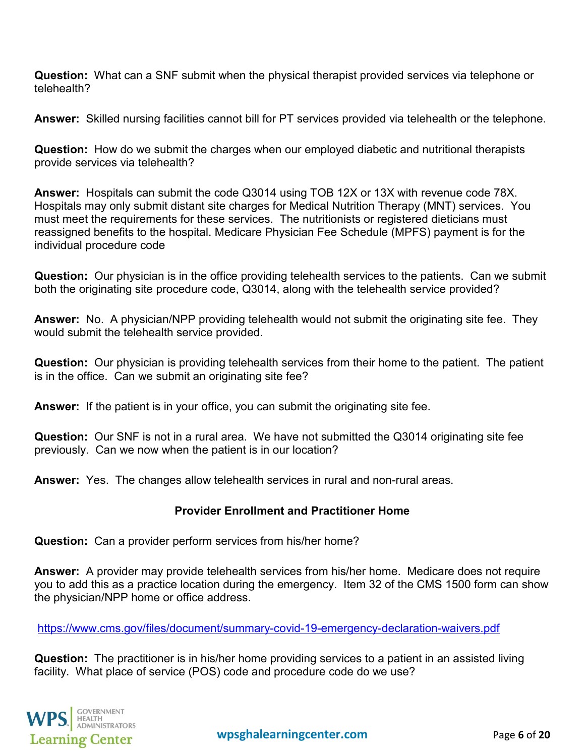**Question:** What can a SNF submit when the physical therapist provided services via telephone or telehealth?

**Answer:** Skilled nursing facilities cannot bill for PT services provided via telehealth or the telephone.

**Question:** How do we submit the charges when our employed diabetic and nutritional therapists provide services via telehealth?

**Answer:** Hospitals can submit the code Q3014 using TOB 12X or 13X with revenue code 78X. Hospitals may only submit distant site charges for Medical Nutrition Therapy (MNT) services. You must meet the requirements for these services. The nutritionists or registered dieticians must reassigned benefits to the hospital. Medicare Physician Fee Schedule (MPFS) payment is for the individual procedure code

**Question:** Our physician is in the office providing telehealth services to the patients. Can we submit both the originating site procedure code, Q3014, along with the telehealth service provided?

**Answer:** No. A physician/NPP providing telehealth would not submit the originating site fee. They would submit the telehealth service provided.

**Question:** Our physician is providing telehealth services from their home to the patient. The patient is in the office. Can we submit an originating site fee?

**Answer:** If the patient is in your office, you can submit the originating site fee.

**Question:** Our SNF is not in a rural area. We have not submitted the Q3014 originating site fee previously. Can we now when the patient is in our location?

<span id="page-5-0"></span>**Answer:** Yes. The changes allow telehealth services in rural and non-rural areas.

## **Provider Enrollment and Practitioner Home**

**Question:** Can a provider perform services from his/her home?

**Answer:** A provider may provide telehealth services from his/her home. Medicare does not require you to add this as a practice location during the emergency. Item 32 of the CMS 1500 form can show the physician/NPP home or office address.

<https://www.cms.gov/files/document/summary-covid-19-emergency-declaration-waivers.pdf>

**Question:** The practitioner is in his/her home providing services to a patient in an assisted living facility. What place of service (POS) code and procedure code do we use?

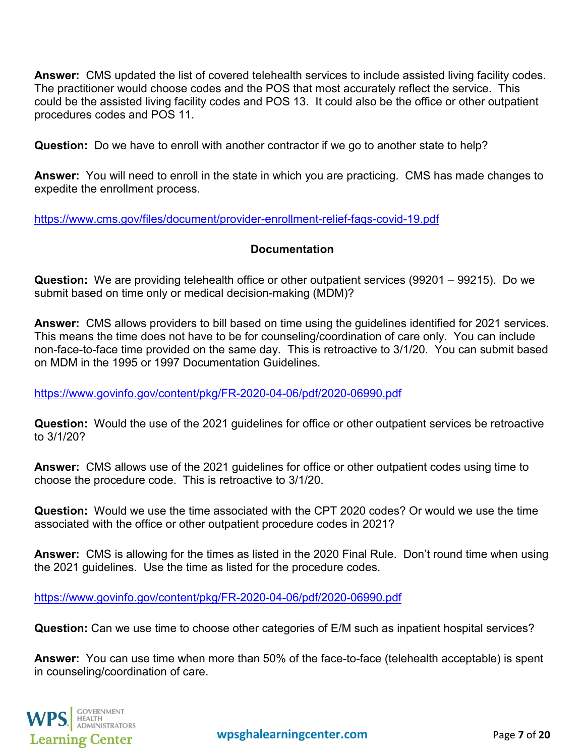**Answer:** CMS updated the list of covered telehealth services to include assisted living facility codes. The practitioner would choose codes and the POS that most accurately reflect the service. This could be the assisted living facility codes and POS 13. It could also be the office or other outpatient procedures codes and POS 11.

**Question:** Do we have to enroll with another contractor if we go to another state to help?

**Answer:** You will need to enroll in the state in which you are practicing. CMS has made changes to expedite the enrollment process.

<span id="page-6-0"></span><https://www.cms.gov/files/document/provider-enrollment-relief-faqs-covid-19.pdf>

#### **Documentation**

**Question:** We are providing telehealth office or other outpatient services (99201 – 99215). Do we submit based on time only or medical decision-making (MDM)?

**Answer:** CMS allows providers to bill based on time using the guidelines identified for 2021 services. This means the time does not have to be for counseling/coordination of care only. You can include non-face-to-face time provided on the same day. This is retroactive to 3/1/20. You can submit based on MDM in the 1995 or 1997 Documentation Guidelines.

<https://www.govinfo.gov/content/pkg/FR-2020-04-06/pdf/2020-06990.pdf>

**Question:** Would the use of the 2021 guidelines for office or other outpatient services be retroactive to 3/1/20?

**Answer:** CMS allows use of the 2021 guidelines for office or other outpatient codes using time to choose the procedure code. This is retroactive to 3/1/20.

**Question:** Would we use the time associated with the CPT 2020 codes? Or would we use the time associated with the office or other outpatient procedure codes in 2021?

**Answer:** CMS is allowing for the times as listed in the 2020 Final Rule. Don't round time when using the 2021 guidelines. Use the time as listed for the procedure codes.

<https://www.govinfo.gov/content/pkg/FR-2020-04-06/pdf/2020-06990.pdf>

**Question:** Can we use time to choose other categories of E/M such as inpatient hospital services?

**Answer:** You can use time when more than 50% of the face-to-face (telehealth acceptable) is spent in counseling/coordination of care.

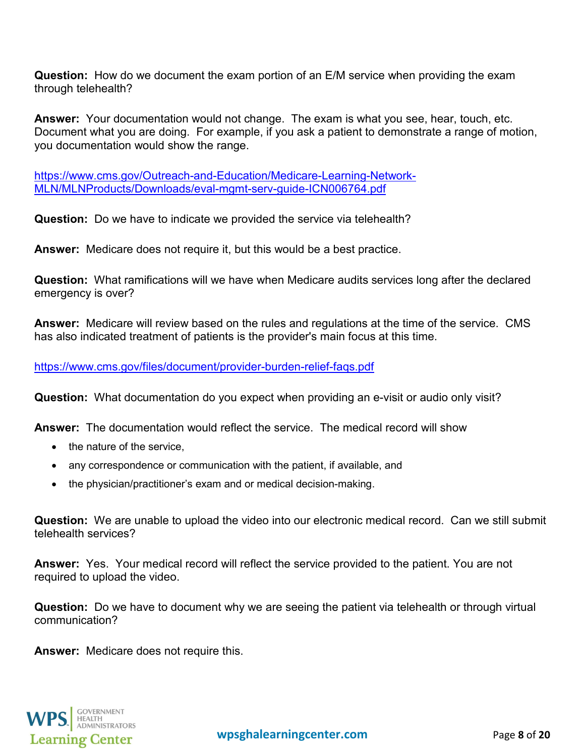**Question:** How do we document the exam portion of an E/M service when providing the exam through telehealth?

**Answer:** Your documentation would not change. The exam is what you see, hear, touch, etc. Document what you are doing. For example, if you ask a patient to demonstrate a range of motion, you documentation would show the range.

[https://www.cms.gov/Outreach-and-Education/Medicare-Learning-Network-](https://www.cms.gov/Outreach-and-Education/Medicare-Learning-Network-MLN/MLNProducts/Downloads/eval-mgmt-serv-guide-ICN006764.pdf)[MLN/MLNProducts/Downloads/eval-mgmt-serv-guide-ICN006764.pdf](https://www.cms.gov/Outreach-and-Education/Medicare-Learning-Network-MLN/MLNProducts/Downloads/eval-mgmt-serv-guide-ICN006764.pdf)

**Question:** Do we have to indicate we provided the service via telehealth?

**Answer:** Medicare does not require it, but this would be a best practice.

**Question:** What ramifications will we have when Medicare audits services long after the declared emergency is over?

**Answer:** Medicare will review based on the rules and regulations at the time of the service. CMS has also indicated treatment of patients is the provider's main focus at this time.

<https://www.cms.gov/files/document/provider-burden-relief-faqs.pdf>

**Question:** What documentation do you expect when providing an e-visit or audio only visit?

**Answer:** The documentation would reflect the service. The medical record will show

- the nature of the service,
- any correspondence or communication with the patient, if available, and
- the physician/practitioner's exam and or medical decision-making.

**Question:** We are unable to upload the video into our electronic medical record. Can we still submit telehealth services?

**Answer:** Yes. Your medical record will reflect the service provided to the patient. You are not required to upload the video.

**Question:** Do we have to document why we are seeing the patient via telehealth or through virtual communication?

<span id="page-7-0"></span>**Answer:** Medicare does not require this.

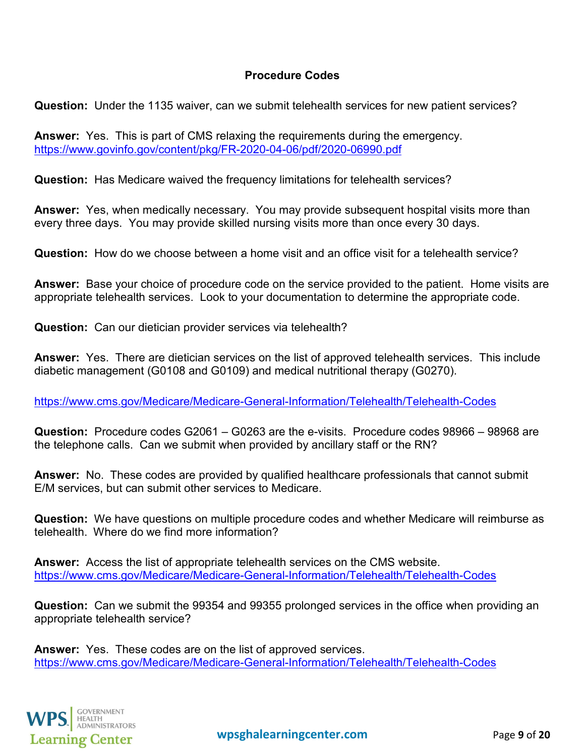#### **Procedure Codes**

**Question:** Under the 1135 waiver, can we submit telehealth services for new patient services?

**Answer:** Yes. This is part of CMS relaxing the requirements during the emergency. <https://www.govinfo.gov/content/pkg/FR-2020-04-06/pdf/2020-06990.pdf>

**Question:** Has Medicare waived the frequency limitations for telehealth services?

**Answer:** Yes, when medically necessary. You may provide subsequent hospital visits more than every three days. You may provide skilled nursing visits more than once every 30 days.

**Question:** How do we choose between a home visit and an office visit for a telehealth service?

**Answer:** Base your choice of procedure code on the service provided to the patient. Home visits are appropriate telehealth services. Look to your documentation to determine the appropriate code.

**Question:** Can our dietician provider services via telehealth?

**Answer:** Yes. There are dietician services on the list of approved telehealth services. This include diabetic management (G0108 and G0109) and medical nutritional therapy (G0270).

<https://www.cms.gov/Medicare/Medicare-General-Information/Telehealth/Telehealth-Codes>

**Question:** Procedure codes G2061 – G0263 are the e-visits. Procedure codes 98966 – 98968 are the telephone calls. Can we submit when provided by ancillary staff or the RN?

**Answer:** No. These codes are provided by qualified healthcare professionals that cannot submit E/M services, but can submit other services to Medicare.

**Question:** We have questions on multiple procedure codes and whether Medicare will reimburse as telehealth. Where do we find more information?

**Answer:** Access the list of appropriate telehealth services on the CMS website. <https://www.cms.gov/Medicare/Medicare-General-Information/Telehealth/Telehealth-Codes>

**Question:** Can we submit the 99354 and 99355 prolonged services in the office when providing an appropriate telehealth service?

**Answer:** Yes. These codes are on the list of approved services. <https://www.cms.gov/Medicare/Medicare-General-Information/Telehealth/Telehealth-Codes>

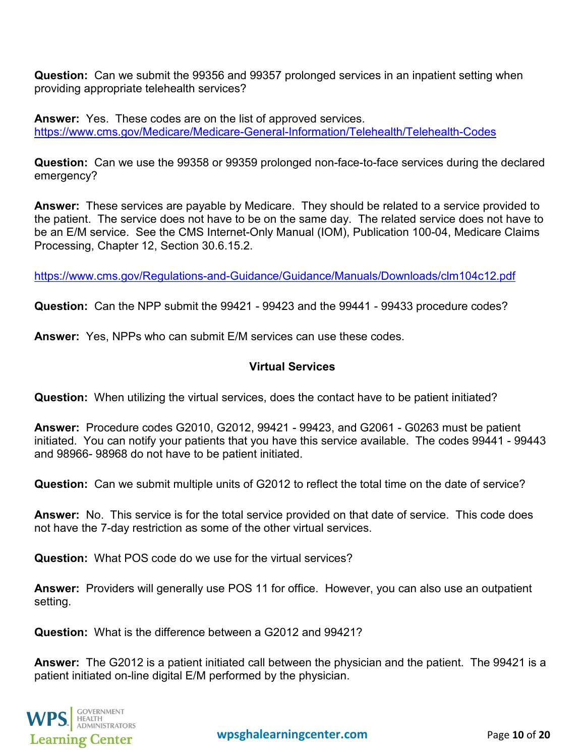**Question:** Can we submit the 99356 and 99357 prolonged services in an inpatient setting when providing appropriate telehealth services?

**Answer:** Yes. These codes are on the list of approved services. <https://www.cms.gov/Medicare/Medicare-General-Information/Telehealth/Telehealth-Codes>

**Question:** Can we use the 99358 or 99359 prolonged non-face-to-face services during the declared emergency?

**Answer:** These services are payable by Medicare. They should be related to a service provided to the patient. The service does not have to be on the same day. The related service does not have to be an E/M service. See the CMS Internet-Only Manual (IOM), Publication 100-04, Medicare Claims Processing, Chapter 12, Section 30.6.15.2.

<https://www.cms.gov/Regulations-and-Guidance/Guidance/Manuals/Downloads/clm104c12.pdf>

**Question:** Can the NPP submit the 99421 - 99423 and the 99441 - 99433 procedure codes?

<span id="page-9-0"></span>**Answer:** Yes, NPPs who can submit E/M services can use these codes.

## **Virtual Services**

**Question:** When utilizing the virtual services, does the contact have to be patient initiated?

**Answer:** Procedure codes G2010, G2012, 99421 - 99423, and G2061 - G0263 must be patient initiated. You can notify your patients that you have this service available. The codes 99441 - 99443 and 98966- 98968 do not have to be patient initiated.

**Question:** Can we submit multiple units of G2012 to reflect the total time on the date of service?

**Answer:** No. This service is for the total service provided on that date of service. This code does not have the 7-day restriction as some of the other virtual services.

**Question:** What POS code do we use for the virtual services?

**Answer:** Providers will generally use POS 11 for office. However, you can also use an outpatient setting.

**Question:** What is the difference between a G2012 and 99421?

**Answer:** The G2012 is a patient initiated call between the physician and the patient. The 99421 is a patient initiated on-line digital E/M performed by the physician.

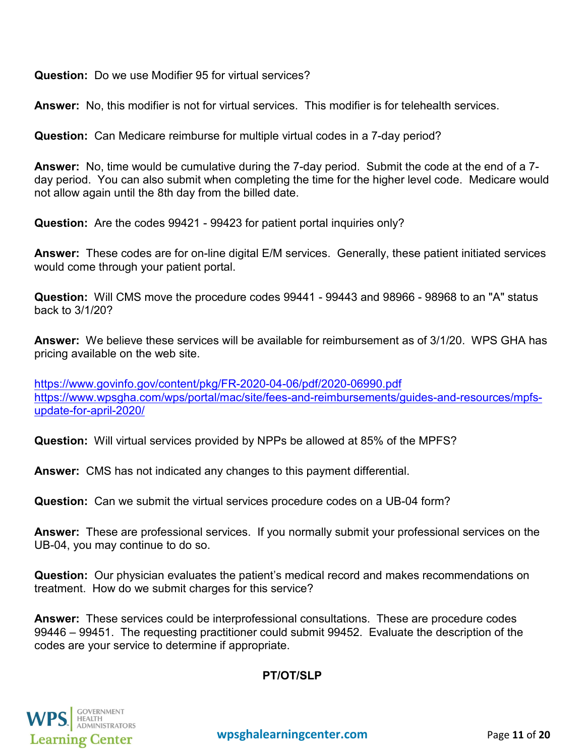**Question:** Do we use Modifier 95 for virtual services?

**Answer:** No, this modifier is not for virtual services. This modifier is for telehealth services.

**Question:** Can Medicare reimburse for multiple virtual codes in a 7-day period?

**Answer:** No, time would be cumulative during the 7-day period. Submit the code at the end of a 7 day period. You can also submit when completing the time for the higher level code. Medicare would not allow again until the 8th day from the billed date.

**Question:** Are the codes 99421 - 99423 for patient portal inquiries only?

**Answer:** These codes are for on-line digital E/M services. Generally, these patient initiated services would come through your patient portal.

**Question:** Will CMS move the procedure codes 99441 - 99443 and 98966 - 98968 to an "A" status back to 3/1/20?

**Answer:** We believe these services will be available for reimbursement as of 3/1/20. WPS GHA has pricing available on the web site.

<https://www.govinfo.gov/content/pkg/FR-2020-04-06/pdf/2020-06990.pdf> [https://www.wpsgha.com/wps/portal/mac/site/fees-and-reimbursements/guides-and-resources/mpfs](https://www.wpsgha.com/wps/portal/mac/site/fees-and-reimbursements/guides-and-resources/mpfs-update-for-april-2020/)[update-for-april-2020/](https://www.wpsgha.com/wps/portal/mac/site/fees-and-reimbursements/guides-and-resources/mpfs-update-for-april-2020/) 

**Question:** Will virtual services provided by NPPs be allowed at 85% of the MPFS?

**Answer:** CMS has not indicated any changes to this payment differential.

**Question:** Can we submit the virtual services procedure codes on a UB-04 form?

**Answer:** These are professional services. If you normally submit your professional services on the UB-04, you may continue to do so.

**Question:** Our physician evaluates the patient's medical record and makes recommendations on treatment. How do we submit charges for this service?

<span id="page-10-0"></span>**Answer:** These services could be interprofessional consultations. These are procedure codes 99446 – 99451. The requesting practitioner could submit 99452. Evaluate the description of the codes are your service to determine if appropriate.

## **PT/OT/SLP**

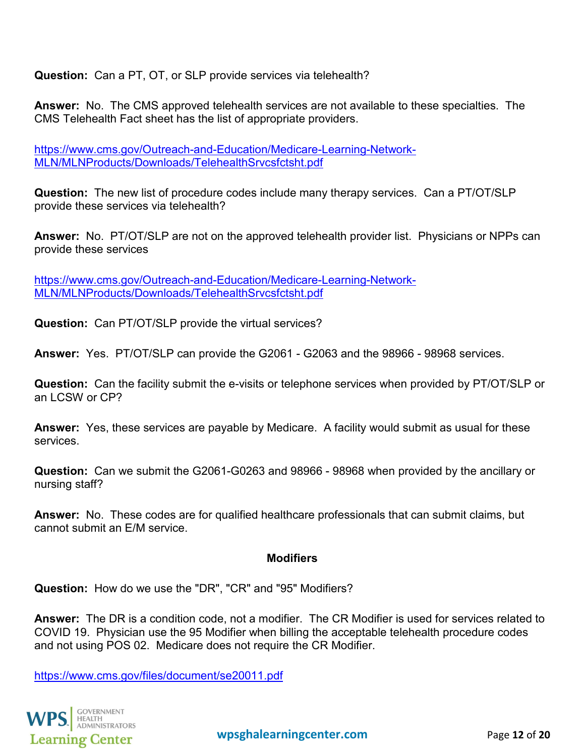**Question:** Can a PT, OT, or SLP provide services via telehealth?

**Answer:** No. The CMS approved telehealth services are not available to these specialties. The CMS Telehealth Fact sheet has the list of appropriate providers.

[https://www.cms.gov/Outreach-and-Education/Medicare-Learning-Network-](https://www.cms.gov/Outreach-and-Education/Medicare-Learning-Network-MLN/MLNProducts/Downloads/TelehealthSrvcsfctsht.pdf)[MLN/MLNProducts/Downloads/TelehealthSrvcsfctsht.pdf](https://www.cms.gov/Outreach-and-Education/Medicare-Learning-Network-MLN/MLNProducts/Downloads/TelehealthSrvcsfctsht.pdf)

**Question:** The new list of procedure codes include many therapy services. Can a PT/OT/SLP provide these services via telehealth?

**Answer:** No. PT/OT/SLP are not on the approved telehealth provider list. Physicians or NPPs can provide these services

[https://www.cms.gov/Outreach-and-Education/Medicare-Learning-Network-](https://www.cms.gov/Outreach-and-Education/Medicare-Learning-Network-MLN/MLNProducts/Downloads/TelehealthSrvcsfctsht.pdf)[MLN/MLNProducts/Downloads/TelehealthSrvcsfctsht.pdf](https://www.cms.gov/Outreach-and-Education/Medicare-Learning-Network-MLN/MLNProducts/Downloads/TelehealthSrvcsfctsht.pdf)

**Question:** Can PT/OT/SLP provide the virtual services?

**Answer:** Yes. PT/OT/SLP can provide the G2061 - G2063 and the 98966 - 98968 services.

**Question:** Can the facility submit the e-visits or telephone services when provided by PT/OT/SLP or an LCSW or CP?

**Answer:** Yes, these services are payable by Medicare. A facility would submit as usual for these services.

**Question:** Can we submit the G2061-G0263 and 98966 - 98968 when provided by the ancillary or nursing staff?

<span id="page-11-0"></span>**Answer:** No. These codes are for qualified healthcare professionals that can submit claims, but cannot submit an E/M service.

#### **Modifiers**

**Question:** How do we use the "DR", "CR" and "95" Modifiers?

**Answer:** The DR is a condition code, not a modifier. The CR Modifier is used for services related to COVID 19. Physician use the 95 Modifier when billing the acceptable telehealth procedure codes and not using POS 02. Medicare does not require the CR Modifier.

<https://www.cms.gov/files/document/se20011.pdf>

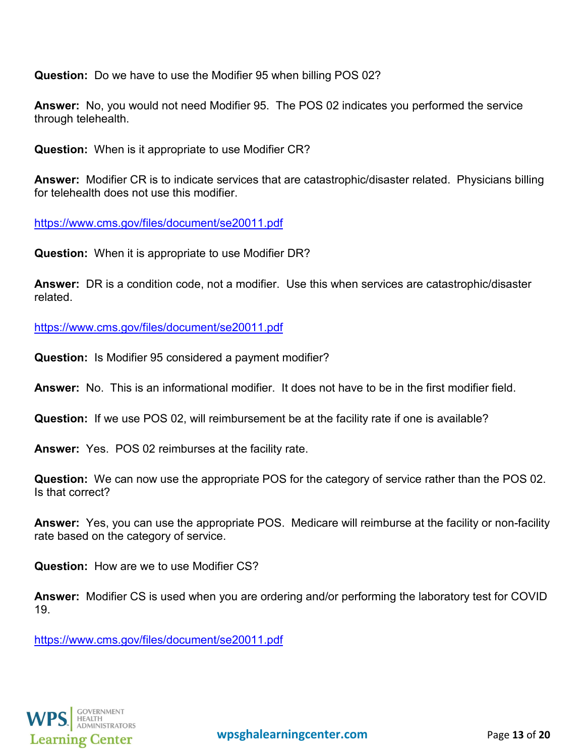**Question:** Do we have to use the Modifier 95 when billing POS 02?

**Answer:** No, you would not need Modifier 95. The POS 02 indicates you performed the service through telehealth.

**Question:** When is it appropriate to use Modifier CR?

**Answer:** Modifier CR is to indicate services that are catastrophic/disaster related. Physicians billing for telehealth does not use this modifier.

<https://www.cms.gov/files/document/se20011.pdf>

**Question:** When it is appropriate to use Modifier DR?

**Answer:** DR is a condition code, not a modifier. Use this when services are catastrophic/disaster related.

<https://www.cms.gov/files/document/se20011.pdf>

**Question:** Is Modifier 95 considered a payment modifier?

**Answer:** No. This is an informational modifier. It does not have to be in the first modifier field.

**Question:** If we use POS 02, will reimbursement be at the facility rate if one is available?

**Answer:** Yes. POS 02 reimburses at the facility rate.

**Question:** We can now use the appropriate POS for the category of service rather than the POS 02. Is that correct?

**Answer:** Yes, you can use the appropriate POS. Medicare will reimburse at the facility or non-facility rate based on the category of service.

**Question:** How are we to use Modifier CS?

**Answer:** Modifier CS is used when you are ordering and/or performing the laboratory test for COVID 19.

<span id="page-12-0"></span><https://www.cms.gov/files/document/se20011.pdf>

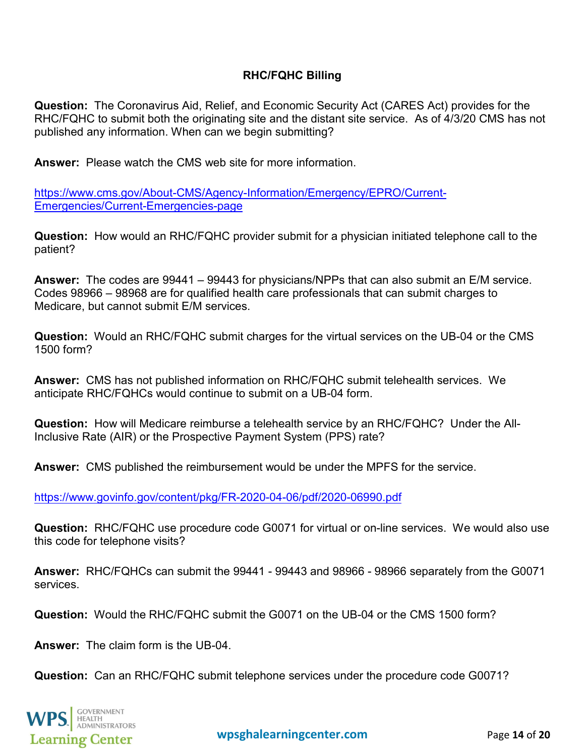#### **RHC/FQHC Billing**

**Question:** The Coronavirus Aid, Relief, and Economic Security Act (CARES Act) provides for the RHC/FQHC to submit both the originating site and the distant site service. As of 4/3/20 CMS has not published any information. When can we begin submitting?

**Answer:** Please watch the CMS web site for more information.

[https://www.cms.gov/About-CMS/Agency-Information/Emergency/EPRO/Current-](https://www.cms.gov/About-CMS/Agency-Information/Emergency/EPRO/Current-Emergencies/Current-Emergencies-page)[Emergencies/Current-Emergencies-page](https://www.cms.gov/About-CMS/Agency-Information/Emergency/EPRO/Current-Emergencies/Current-Emergencies-page)

**Question:** How would an RHC/FQHC provider submit for a physician initiated telephone call to the patient?

**Answer:** The codes are 99441 – 99443 for physicians/NPPs that can also submit an E/M service. Codes 98966 – 98968 are for qualified health care professionals that can submit charges to Medicare, but cannot submit E/M services.

**Question:** Would an RHC/FQHC submit charges for the virtual services on the UB-04 or the CMS 1500 form?

**Answer:** CMS has not published information on RHC/FQHC submit telehealth services. We anticipate RHC/FQHCs would continue to submit on a UB-04 form.

**Question:** How will Medicare reimburse a telehealth service by an RHC/FQHC? Under the All-Inclusive Rate (AIR) or the Prospective Payment System (PPS) rate?

**Answer:** CMS published the reimbursement would be under the MPFS for the service.

<https://www.govinfo.gov/content/pkg/FR-2020-04-06/pdf/2020-06990.pdf>

**Question:** RHC/FQHC use procedure code G0071 for virtual or on-line services. We would also use this code for telephone visits?

**Answer:** RHC/FQHCs can submit the 99441 - 99443 and 98966 - 98966 separately from the G0071 services.

**Question:** Would the RHC/FQHC submit the G0071 on the UB-04 or the CMS 1500 form?

**Answer:** The claim form is the UB-04.

**Question:** Can an RHC/FQHC submit telephone services under the procedure code G0071?

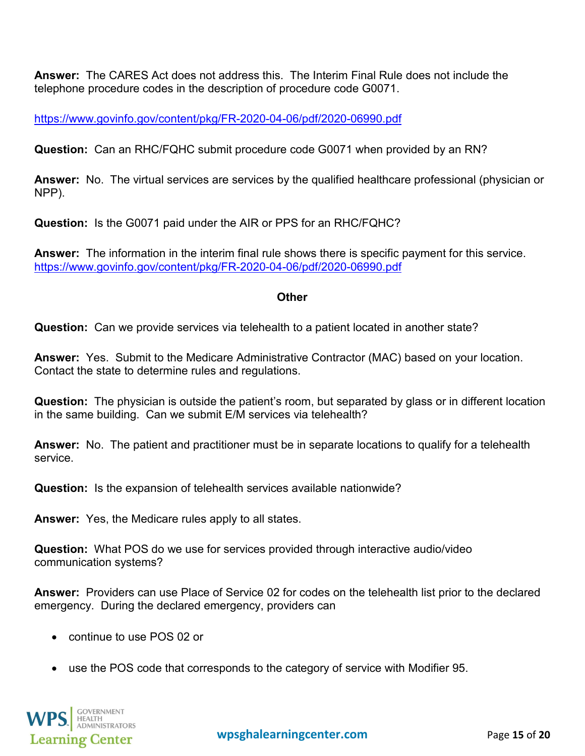**Answer:** The CARES Act does not address this. The Interim Final Rule does not include the telephone procedure codes in the description of procedure code G0071.

<https://www.govinfo.gov/content/pkg/FR-2020-04-06/pdf/2020-06990.pdf>

**Question:** Can an RHC/FQHC submit procedure code G0071 when provided by an RN?

**Answer:** No. The virtual services are services by the qualified healthcare professional (physician or NPP).

**Question:** Is the G0071 paid under the AIR or PPS for an RHC/FQHC?

<span id="page-14-0"></span>**Answer:** The information in the interim final rule shows there is specific payment for this service. <https://www.govinfo.gov/content/pkg/FR-2020-04-06/pdf/2020-06990.pdf>

#### **Other**

**Question:** Can we provide services via telehealth to a patient located in another state?

**Answer:** Yes. Submit to the Medicare Administrative Contractor (MAC) based on your location. Contact the state to determine rules and regulations.

**Question:** The physician is outside the patient's room, but separated by glass or in different location in the same building. Can we submit E/M services via telehealth?

**Answer:** No. The patient and practitioner must be in separate locations to qualify for a telehealth service.

**Question:** Is the expansion of telehealth services available nationwide?

**Answer:** Yes, the Medicare rules apply to all states.

**Question:** What POS do we use for services provided through interactive audio/video communication systems?

**Answer:** Providers can use Place of Service 02 for codes on the telehealth list prior to the declared emergency. During the declared emergency, providers can

- continue to use POS 02 or
- use the POS code that corresponds to the category of service with Modifier 95.

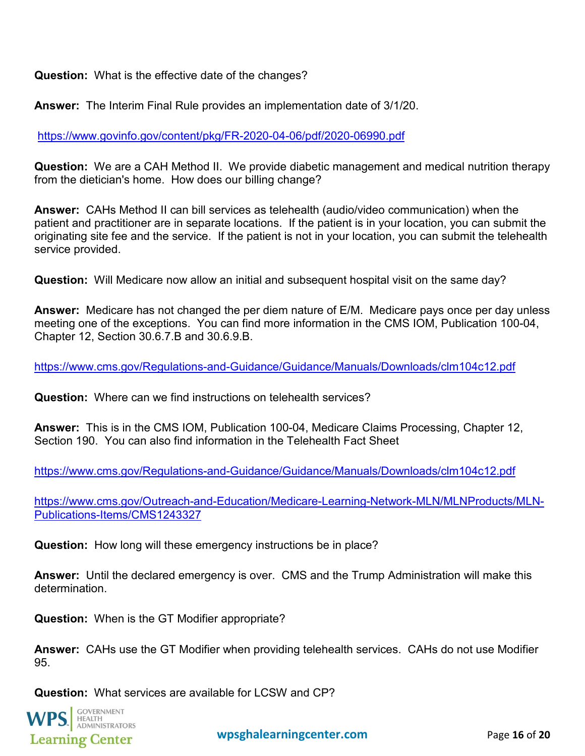**Question:** What is the effective date of the changes?

**Answer:** The Interim Final Rule provides an implementation date of 3/1/20.

<https://www.govinfo.gov/content/pkg/FR-2020-04-06/pdf/2020-06990.pdf>

**Question:** We are a CAH Method II. We provide diabetic management and medical nutrition therapy from the dietician's home. How does our billing change?

**Answer:** CAHs Method II can bill services as telehealth (audio/video communication) when the patient and practitioner are in separate locations. If the patient is in your location, you can submit the originating site fee and the service. If the patient is not in your location, you can submit the telehealth service provided.

**Question:** Will Medicare now allow an initial and subsequent hospital visit on the same day?

**Answer:** Medicare has not changed the per diem nature of E/M. Medicare pays once per day unless meeting one of the exceptions. You can find more information in the CMS IOM, Publication 100-04, Chapter 12, Section 30.6.7.B and 30.6.9.B.

<https://www.cms.gov/Regulations-and-Guidance/Guidance/Manuals/Downloads/clm104c12.pdf>

**Question:** Where can we find instructions on telehealth services?

**Answer:** This is in the CMS IOM, Publication 100-04, Medicare Claims Processing, Chapter 12, Section 190. You can also find information in the Telehealth Fact Sheet

<https://www.cms.gov/Regulations-and-Guidance/Guidance/Manuals/Downloads/clm104c12.pdf>

[https://www.cms.gov/Outreach-and-Education/Medicare-Learning-Network-MLN/MLNProducts/MLN-](https://www.cms.gov/Outreach-and-Education/Medicare-Learning-Network-MLN/MLNProducts/MLN-Publications-Items/CMS1243327)[Publications-Items/CMS1243327](https://www.cms.gov/Outreach-and-Education/Medicare-Learning-Network-MLN/MLNProducts/MLN-Publications-Items/CMS1243327)

**Question:** How long will these emergency instructions be in place?

**Answer:** Until the declared emergency is over. CMS and the Trump Administration will make this determination.

**Question:** When is the GT Modifier appropriate?

**Answer:** CAHs use the GT Modifier when providing telehealth services. CAHs do not use Modifier 95.

**Question:** What services are available for LCSW and CP?

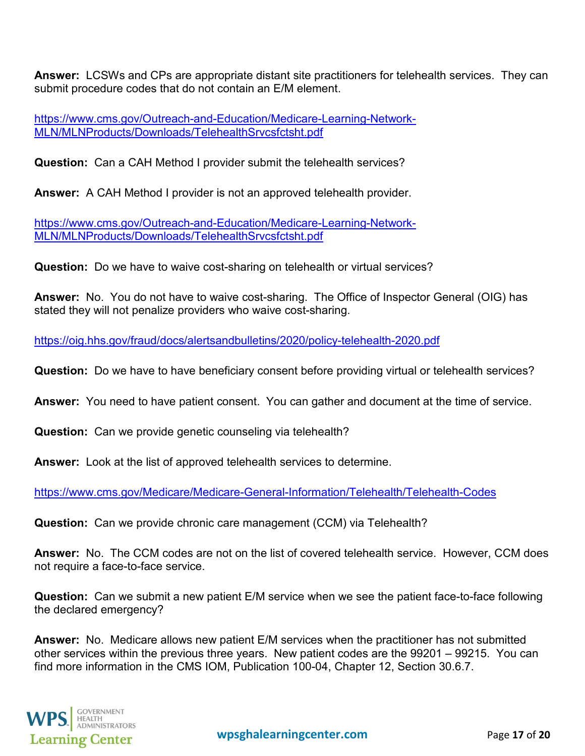**Answer:** LCSWs and CPs are appropriate distant site practitioners for telehealth services. They can submit procedure codes that do not contain an E/M element.

[https://www.cms.gov/Outreach-and-Education/Medicare-Learning-Network-](https://www.cms.gov/Outreach-and-Education/Medicare-Learning-Network-MLN/MLNProducts/Downloads/TelehealthSrvcsfctsht.pdf)[MLN/MLNProducts/Downloads/TelehealthSrvcsfctsht.pdf](https://www.cms.gov/Outreach-and-Education/Medicare-Learning-Network-MLN/MLNProducts/Downloads/TelehealthSrvcsfctsht.pdf)

**Question:** Can a CAH Method I provider submit the telehealth services?

**Answer:** A CAH Method I provider is not an approved telehealth provider.

[https://www.cms.gov/Outreach-and-Education/Medicare-Learning-Network-](https://www.cms.gov/Outreach-and-Education/Medicare-Learning-Network-MLN/MLNProducts/Downloads/TelehealthSrvcsfctsht.pdf)[MLN/MLNProducts/Downloads/TelehealthSrvcsfctsht.pdf](https://www.cms.gov/Outreach-and-Education/Medicare-Learning-Network-MLN/MLNProducts/Downloads/TelehealthSrvcsfctsht.pdf)

**Question:** Do we have to waive cost-sharing on telehealth or virtual services?

**Answer:** No. You do not have to waive cost-sharing. The Office of Inspector General (OIG) has stated they will not penalize providers who waive cost-sharing.

<https://oig.hhs.gov/fraud/docs/alertsandbulletins/2020/policy-telehealth-2020.pdf>

**Question:** Do we have to have beneficiary consent before providing virtual or telehealth services?

**Answer:** You need to have patient consent. You can gather and document at the time of service.

**Question:** Can we provide genetic counseling via telehealth?

**Answer:** Look at the list of approved telehealth services to determine.

<https://www.cms.gov/Medicare/Medicare-General-Information/Telehealth/Telehealth-Codes>

**Question:** Can we provide chronic care management (CCM) via Telehealth?

**Answer:** No. The CCM codes are not on the list of covered telehealth service. However, CCM does not require a face-to-face service.

**Question:** Can we submit a new patient E/M service when we see the patient face-to-face following the declared emergency?

**Answer:** No. Medicare allows new patient E/M services when the practitioner has not submitted other services within the previous three years. New patient codes are the 99201 – 99215. You can find more information in the CMS IOM, Publication 100-04, Chapter 12, Section 30.6.7.

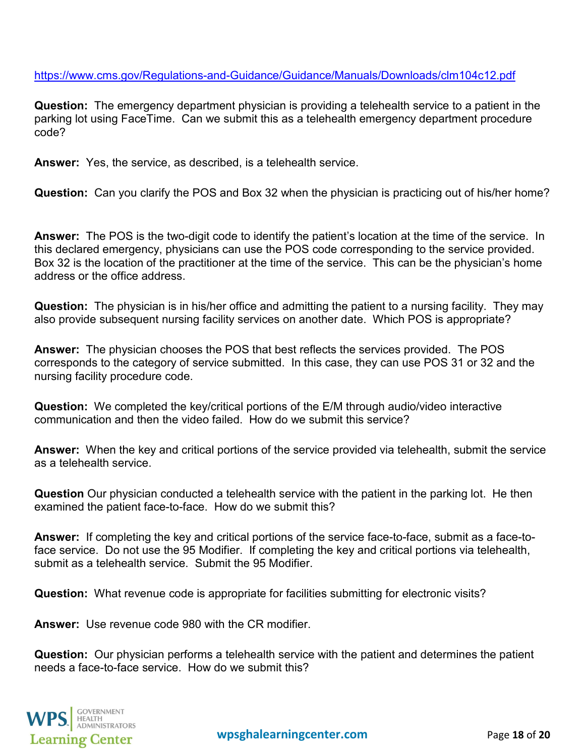<https://www.cms.gov/Regulations-and-Guidance/Guidance/Manuals/Downloads/clm104c12.pdf>

**Question:** The emergency department physician is providing a telehealth service to a patient in the parking lot using FaceTime. Can we submit this as a telehealth emergency department procedure code?

**Answer:** Yes, the service, as described, is a telehealth service.

**Question:** Can you clarify the POS and Box 32 when the physician is practicing out of his/her home?

**Answer:** The POS is the two-digit code to identify the patient's location at the time of the service. In this declared emergency, physicians can use the POS code corresponding to the service provided. Box 32 is the location of the practitioner at the time of the service. This can be the physician's home address or the office address.

**Question:** The physician is in his/her office and admitting the patient to a nursing facility. They may also provide subsequent nursing facility services on another date. Which POS is appropriate?

**Answer:** The physician chooses the POS that best reflects the services provided. The POS corresponds to the category of service submitted. In this case, they can use POS 31 or 32 and the nursing facility procedure code.

**Question:** We completed the key/critical portions of the E/M through audio/video interactive communication and then the video failed. How do we submit this service?

**Answer:** When the key and critical portions of the service provided via telehealth, submit the service as a telehealth service.

**Question** Our physician conducted a telehealth service with the patient in the parking lot. He then examined the patient face-to-face. How do we submit this?

**Answer:** If completing the key and critical portions of the service face-to-face, submit as a face-toface service. Do not use the 95 Modifier. If completing the key and critical portions via telehealth, submit as a telehealth service. Submit the 95 Modifier.

**Question:** What revenue code is appropriate for facilities submitting for electronic visits?

**Answer:** Use revenue code 980 with the CR modifier.

**Question:** Our physician performs a telehealth service with the patient and determines the patient needs a face-to-face service. How do we submit this?

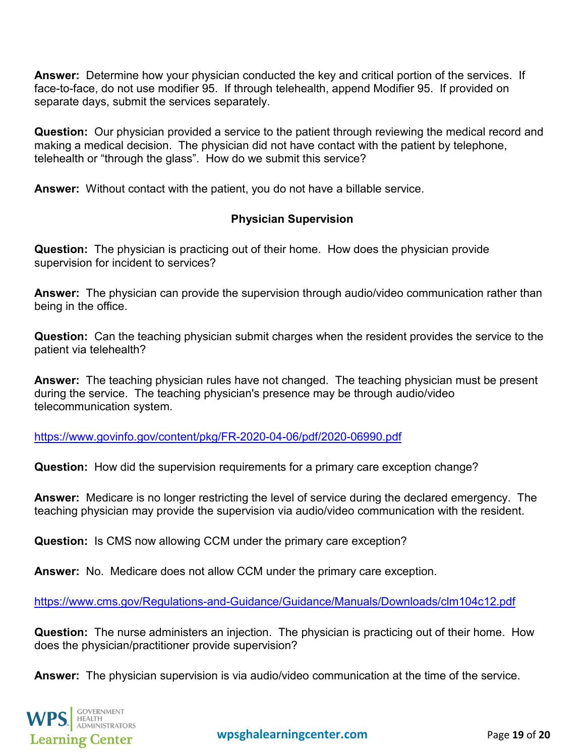**Answer:** Determine how your physician conducted the key and critical portion of the services. If face-to-face, do not use modifier 95. If through telehealth, append Modifier 95. If provided on separate days, submit the services separately.

**Question:** Our physician provided a service to the patient through reviewing the medical record and making a medical decision. The physician did not have contact with the patient by telephone, telehealth or "through the glass". How do we submit this service?

<span id="page-18-0"></span>**Answer:** Without contact with the patient, you do not have a billable service.

# **Physician Supervision**

**Question:** The physician is practicing out of their home. How does the physician provide supervision for incident to services?

**Answer:** The physician can provide the supervision through audio/video communication rather than being in the office.

**Question:** Can the teaching physician submit charges when the resident provides the service to the patient via telehealth?

**Answer:** The teaching physician rules have not changed. The teaching physician must be present during the service. The teaching physician's presence may be through audio/video telecommunication system.

<https://www.govinfo.gov/content/pkg/FR-2020-04-06/pdf/2020-06990.pdf>

**Question:** How did the supervision requirements for a primary care exception change?

**Answer:** Medicare is no longer restricting the level of service during the declared emergency. The teaching physician may provide the supervision via audio/video communication with the resident.

**Question:** Is CMS now allowing CCM under the primary care exception?

**Answer:** No. Medicare does not allow CCM under the primary care exception.

<https://www.cms.gov/Regulations-and-Guidance/Guidance/Manuals/Downloads/clm104c12.pdf>

**Question:** The nurse administers an injection. The physician is practicing out of their home. How does the physician/practitioner provide supervision?

**Answer:** The physician supervision is via audio/video communication at the time of the service.